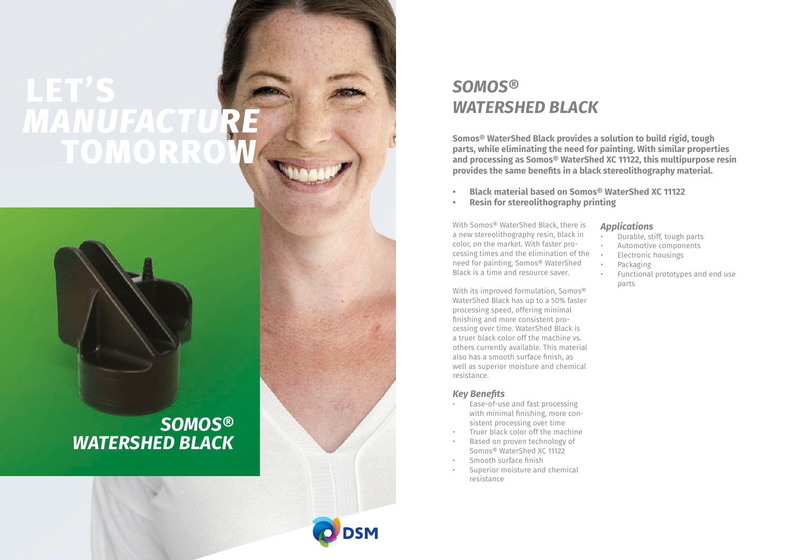# LET'S MANUFACTURE **TOMORRO**

## *SOMOS® WATERSHED BLACK*



**Somos® WaterShed Black provides a solution to build rigid, tough parts, while eliminating the need for painting. With similar properties and processing as Somos® WaterShed XC 11122, this multipurpose resin provides the same benefits in a black stereolithography material.**

- **• Black material based on Somos® WaterShed XC 11122**
- **• Resin for stereolithography printing**

With Somos® WaterShed Black, there is a new stereolithography resin, black in color, on the market. With faster pro cessing times and the elimination of the need for painting, Somos® WaterShed Black is a time and resource saver.

With its improved formulation, Somos® WaterShed Black has up to a 50% faster processing speed, offering minimal finishing and more consistent pro cessing over time. WaterShed Black is a truer black color off the machine vs. others currently available. This material also has a smooth surface finish, as well as superior moisture and chemical resistance.

#### *Key Benefits*

- Ease-of-use and fast processing with minimal finishing, more con sistent processing over time
- Truer black color off the machine
- Based on proven technology of Somos® WaterShed XC 11122
- 
- Smooth surface finish Superior moisture and chemical resistance

### *Applications*

- Durable, stiff, tough parts
- Automotive components
- Electronic housings
- Packaging
- Functional prototypes and end use parts